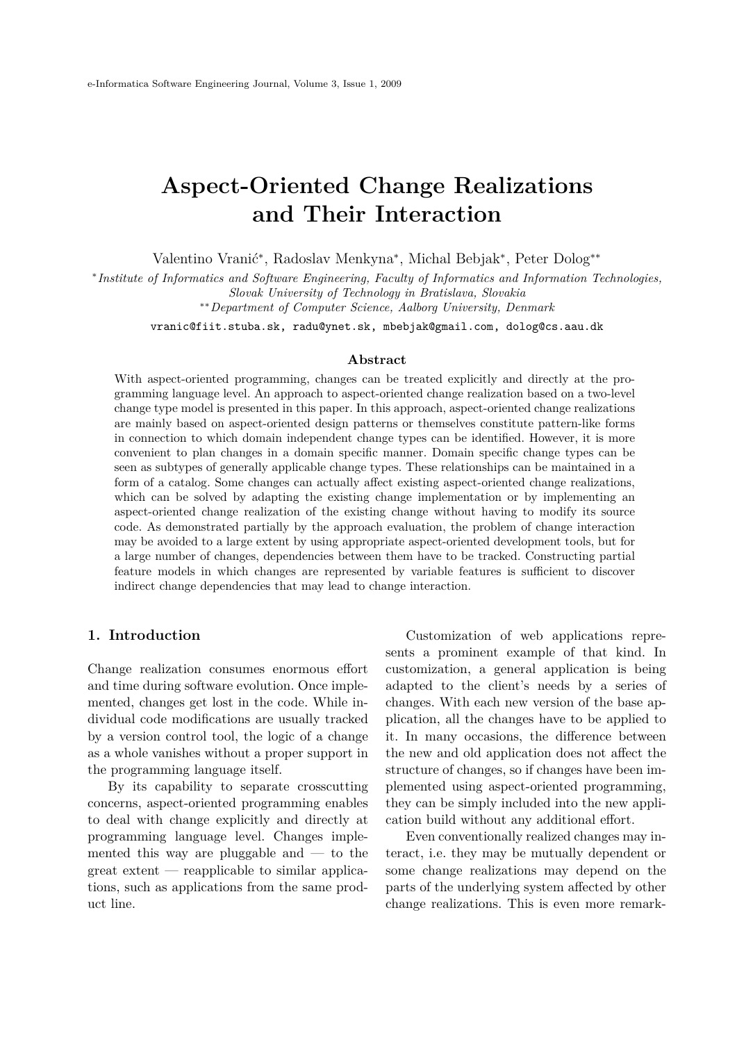# **Aspect-Oriented Change Realizations and Their Interaction**

Valentino Vranić*∗*, Radoslav Menkyna*∗*, Michal Bebjak*∗*, Peter Dolog*∗∗*

*∗Institute of Informatics and Software Engineering, Faculty of Informatics and Information Technologies, Slovak University of Technology in Bratislava, Slovakia*

*∗∗Department of Computer Science, Aalborg University, Denmark*

vranic@fiit.stuba.sk, radu@ynet.sk, mbebjak@gmail.com, dolog@cs.aau.dk

#### **Abstract**

With aspect-oriented programming, changes can be treated explicitly and directly at the programming language level. An approach to aspect-oriented change realization based on a two-level change type model is presented in this paper. In this approach, aspect-oriented change realizations are mainly based on aspect-oriented design patterns or themselves constitute pattern-like forms in connection to which domain independent change types can be identified. However, it is more convenient to plan changes in a domain specific manner. Domain specific change types can be seen as subtypes of generally applicable change types. These relationships can be maintained in a form of a catalog. Some changes can actually affect existing aspect-oriented change realizations, which can be solved by adapting the existing change implementation or by implementing an aspect-oriented change realization of the existing change without having to modify its source code. As demonstrated partially by the approach evaluation, the problem of change interaction may be avoided to a large extent by using appropriate aspect-oriented development tools, but for a large number of changes, dependencies between them have to be tracked. Constructing partial feature models in which changes are represented by variable features is sufficient to discover indirect change dependencies that may lead to change interaction.

#### **1. Introduction**

Change realization consumes enormous effort and time during software evolution. Once implemented, changes get lost in the code. While individual code modifications are usually tracked by a version control tool, the logic of a change as a whole vanishes without a proper support in the programming language itself.

By its capability to separate crosscutting concerns, aspect-oriented programming enables to deal with change explicitly and directly at programming language level. Changes implemented this way are pluggable and  $-$  to the great extent — reapplicable to similar applications, such as applications from the same product line.

Customization of web applications represents a prominent example of that kind. In customization, a general application is being adapted to the client's needs by a series of changes. With each new version of the base application, all the changes have to be applied to it. In many occasions, the difference between the new and old application does not affect the structure of changes, so if changes have been implemented using aspect-oriented programming, they can be simply included into the new application build without any additional effort.

Even conventionally realized changes may interact, i.e. they may be mutually dependent or some change realizations may depend on the parts of the underlying system affected by other change realizations. This is even more remark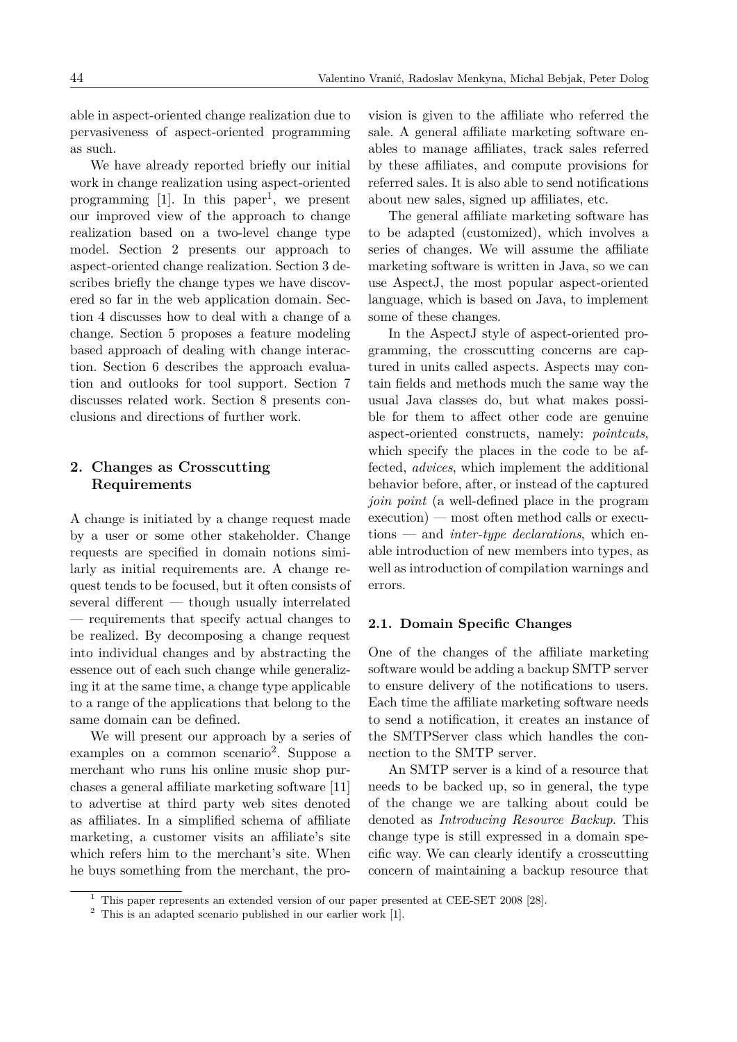able in aspect-oriented change realization due to pervasiveness of aspect-oriented programming as such.

We have already reported briefly our initial work in change realization using aspect-oriented programming  $[1]$ . In this paper<sup>1</sup>, we present our improved view of the approach to change realization based on a two-level change type model. Section 2 presents our approach to aspect-oriented change realization. Section 3 describes briefly the change types we have discovered so far in the web application domain. Section 4 discusses how to deal with a change of a change. Section 5 proposes a feature modeling based approach of dealing with change interaction. Section 6 describes the approach evaluation and outlooks for tool support. Section 7 discusses related work. Section 8 presents conclusions and directions of further work.

# **2. Changes as Crosscutting Requirements**

A change is initiated by a change request made by a user or some other stakeholder. Change requests are specified in domain notions similarly as initial requirements are. A change request tends to be focused, but it often consists of several different — though usually interrelated — requirements that specify actual changes to be realized. By decomposing a change request into individual changes and by abstracting the essence out of each such change while generalizing it at the same time, a change type applicable to a range of the applications that belong to the same domain can be defined.

We will present our approach by a series of examples on a common scenario<sup>2</sup>. Suppose a merchant who runs his online music shop purchases a general affiliate marketing software [11] to advertise at third party web sites denoted as affiliates. In a simplified schema of affiliate marketing, a customer visits an affiliate's site which refers him to the merchant's site. When he buys something from the merchant, the pro-

vision is given to the affiliate who referred the sale. A general affiliate marketing software enables to manage affiliates, track sales referred by these affiliates, and compute provisions for referred sales. It is also able to send notifications about new sales, signed up affiliates, etc.

The general affiliate marketing software has to be adapted (customized), which involves a series of changes. We will assume the affiliate marketing software is written in Java, so we can use AspectJ, the most popular aspect-oriented language, which is based on Java, to implement some of these changes.

In the AspectJ style of aspect-oriented programming, the crosscutting concerns are captured in units called aspects. Aspects may contain fields and methods much the same way the usual Java classes do, but what makes possible for them to affect other code are genuine aspect-oriented constructs, namely: *pointcuts*, which specify the places in the code to be affected, *advices*, which implement the additional behavior before, after, or instead of the captured *join point* (a well-defined place in the program execution) — most often method calls or executions — and *inter-type declarations*, which enable introduction of new members into types, as well as introduction of compilation warnings and errors.

#### **2.1. Domain Specific Changes**

One of the changes of the affiliate marketing software would be adding a backup SMTP server to ensure delivery of the notifications to users. Each time the affiliate marketing software needs to send a notification, it creates an instance of the SMTPServer class which handles the connection to the SMTP server.

An SMTP server is a kind of a resource that needs to be backed up, so in general, the type of the change we are talking about could be denoted as *Introducing Resource Backup*. This change type is still expressed in a domain specific way. We can clearly identify a crosscutting concern of maintaining a backup resource that

 $\frac{1}{1}$  This paper represents an extended version of our paper presented at CEE-SET 2008 [28].

<sup>2</sup> This is an adapted scenario published in our earlier work [1].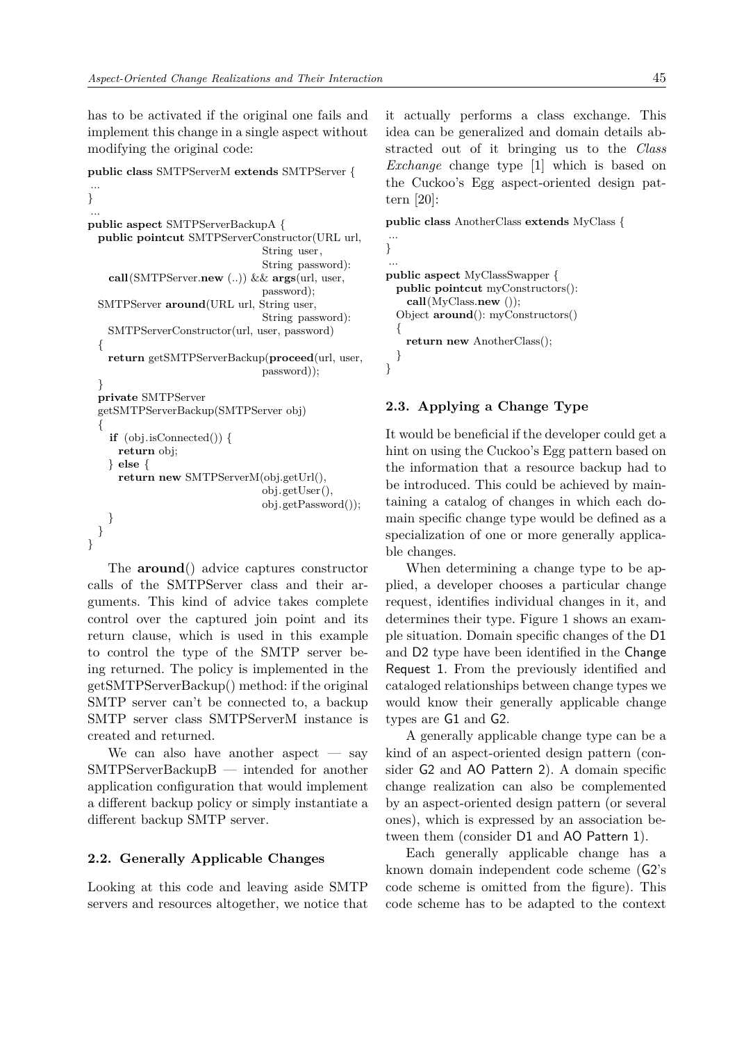has to be activated if the original one fails and implement this change in a single aspect without modifying the original code:

**public class** SMTPServerM **extends** SMTPServer { ...

}

```
...
public aspect SMTPServerBackupA {
 public pointcut SMTPServerConstructor(URL url,
                                String user,
                                String password):
   call(SMTPServer.new (..)) && args(url, user,
                                password);
 SMTPServer around(URL url, String user,
                                String password):
   SMTPServerConstructor(url, user, password)
  {
   return getSMTPServerBackup(proceed(url, user,
                                password));
  }
 private SMTPServer
 getSMTPServerBackup(SMTPServer obj)
  {
   if (obj.isConnected()) {
     return obj;
   } else {
     return new SMTPServerM(obj.getUrl(),
                                obj.getUser(),
                                obj.getPassword());
   }
 }
}
```
The **around**() advice captures constructor calls of the SMTPServer class and their arguments. This kind of advice takes complete control over the captured join point and its return clause, which is used in this example to control the type of the SMTP server being returned. The policy is implemented in the getSMTPServerBackup() method: if the original SMTP server can't be connected to, a backup SMTP server class SMTPServerM instance is created and returned.

We can also have another aspect — say SMTPServerBackupB — intended for another application configuration that would implement a different backup policy or simply instantiate a different backup SMTP server.

#### **2.2. Generally Applicable Changes**

Looking at this code and leaving aside SMTP servers and resources altogether, we notice that it actually performs a class exchange. This idea can be generalized and domain details abstracted out of it bringing us to the *Class Exchange* change type [1] which is based on the Cuckoo's Egg aspect-oriented design pattern [20]:

**public class** AnotherClass **extends** MyClass {

```
...
}
...
public aspect MyClassSwapper {
 public pointcut myConstructors():
    call(MyClass.new ());
 Object around(): myConstructors()
  {
   return new AnotherClass();
  }
}
```
## **2.3. Applying a Change Type**

It would be beneficial if the developer could get a hint on using the Cuckoo's Egg pattern based on the information that a resource backup had to be introduced. This could be achieved by maintaining a catalog of changes in which each domain specific change type would be defined as a specialization of one or more generally applicable changes.

When determining a change type to be applied, a developer chooses a particular change request, identifies individual changes in it, and determines their type. Figure 1 shows an example situation. Domain specific changes of the D1 and D2 type have been identified in the Change Request 1. From the previously identified and cataloged relationships between change types we would know their generally applicable change types are G1 and G2.

A generally applicable change type can be a kind of an aspect-oriented design pattern (consider G2 and AO Pattern 2). A domain specific change realization can also be complemented by an aspect-oriented design pattern (or several ones), which is expressed by an association between them (consider D1 and AO Pattern 1).

Each generally applicable change has a known domain independent code scheme (G2's code scheme is omitted from the figure). This code scheme has to be adapted to the context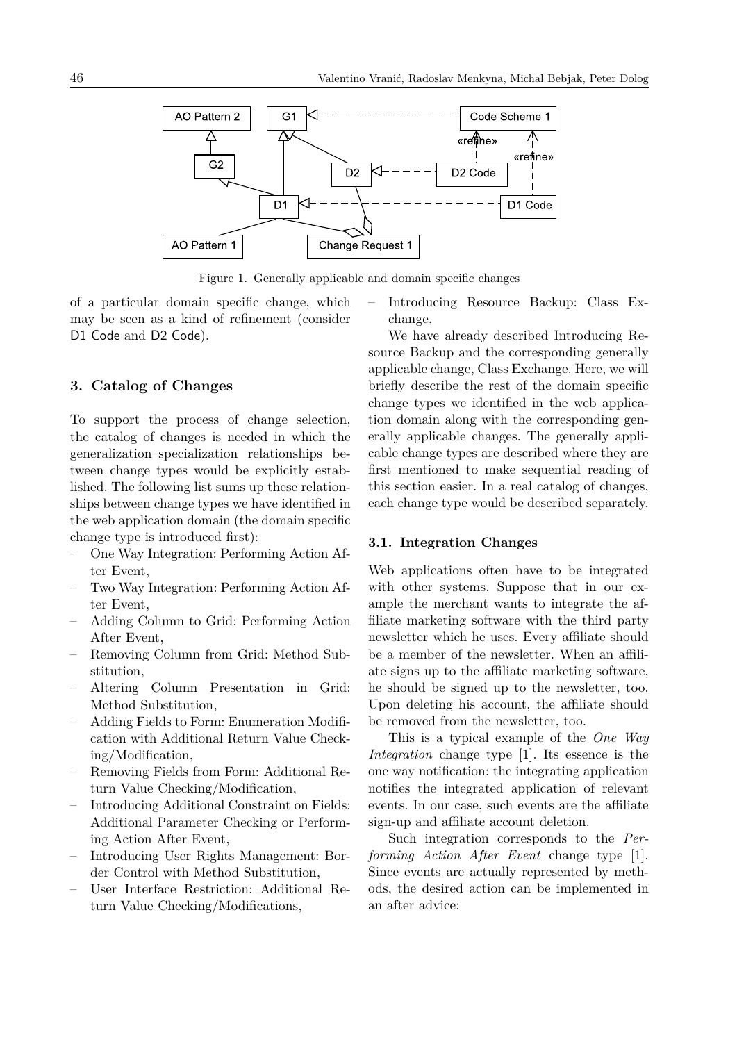

Figure 1. Generally applicable and domain specific changes

of a particular domain specific change, which may be seen as a kind of refinement (consider D1 Code and D2 Code).

# **3. Catalog of Changes**

To support the process of change selection, the catalog of changes is needed in which the generalization–specialization relationships between change types would be explicitly established. The following list sums up these relationships between change types we have identified in the web application domain (the domain specific change type is introduced first):

- One Way Integration: Performing Action After Event,
- Two Way Integration: Performing Action After Event,
- Adding Column to Grid: Performing Action After Event,
- Removing Column from Grid: Method Substitution,
- Altering Column Presentation in Grid: Method Substitution,
- Adding Fields to Form: Enumeration Modification with Additional Return Value Checking/Modification,
- Removing Fields from Form: Additional Return Value Checking/Modification,
- Introducing Additional Constraint on Fields: Additional Parameter Checking or Performing Action After Event,
- Introducing User Rights Management: Border Control with Method Substitution,
- User Interface Restriction: Additional Return Value Checking/Modifications,

– Introducing Resource Backup: Class Exchange.

We have already described Introducing Resource Backup and the corresponding generally applicable change, Class Exchange. Here, we will briefly describe the rest of the domain specific change types we identified in the web application domain along with the corresponding generally applicable changes. The generally applicable change types are described where they are first mentioned to make sequential reading of this section easier. In a real catalog of changes, each change type would be described separately.

#### **3.1. Integration Changes**

Web applications often have to be integrated with other systems. Suppose that in our example the merchant wants to integrate the affiliate marketing software with the third party newsletter which he uses. Every affiliate should be a member of the newsletter. When an affiliate signs up to the affiliate marketing software, he should be signed up to the newsletter, too. Upon deleting his account, the affiliate should be removed from the newsletter, too.

This is a typical example of the *One Way Integration* change type [1]. Its essence is the one way notification: the integrating application notifies the integrated application of relevant events. In our case, such events are the affiliate sign-up and affiliate account deletion.

Such integration corresponds to the *Performing Action After Event* change type [1]. Since events are actually represented by methods, the desired action can be implemented in an after advice: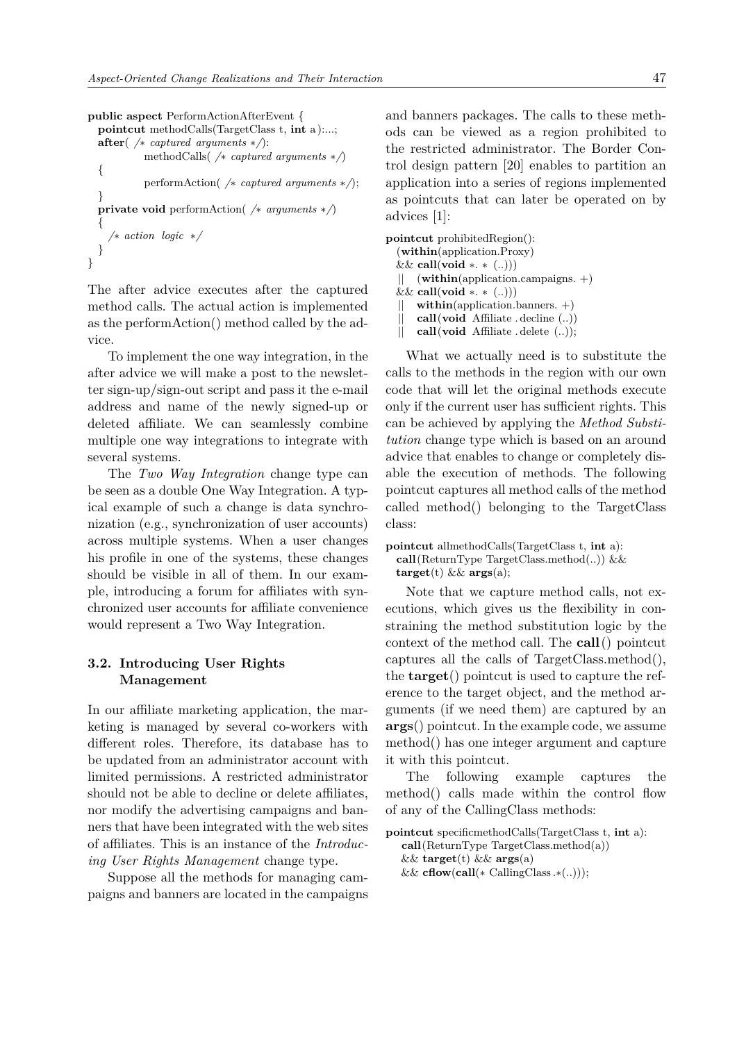```
public aspect PerformActionAfterEvent {
 pointcut methodCalls(TargetClass t, int a ):...;
 after( /∗ captured arguments ∗/):
          methodCalls( /∗ captured arguments ∗/)
  {
          performAction( /∗ captured arguments ∗/);
 }
 private void performAction( /∗ arguments ∗/)
  {
    /∗ action logic ∗/
 }
}
```
The after advice executes after the captured method calls. The actual action is implemented as the performAction() method called by the advice.

To implement the one way integration, in the after advice we will make a post to the newsletter sign-up/sign-out script and pass it the e-mail address and name of the newly signed-up or deleted affiliate. We can seamlessly combine multiple one way integrations to integrate with several systems.

The *Two Way Integration* change type can be seen as a double One Way Integration. A typical example of such a change is data synchronization (e.g., synchronization of user accounts) across multiple systems. When a user changes his profile in one of the systems, these changes should be visible in all of them. In our example, introducing a forum for affiliates with synchronized user accounts for affiliate convenience would represent a Two Way Integration.

## **3.2. Introducing User Rights Management**

In our affiliate marketing application, the marketing is managed by several co-workers with different roles. Therefore, its database has to be updated from an administrator account with limited permissions. A restricted administrator should not be able to decline or delete affiliates, nor modify the advertising campaigns and banners that have been integrated with the web sites of affiliates. This is an instance of the *Introducing User Rights Management* change type.

Suppose all the methods for managing campaigns and banners are located in the campaigns and banners packages. The calls to these methods can be viewed as a region prohibited to the restricted administrator. The Border Control design pattern [20] enables to partition an application into a series of regions implemented as pointcuts that can later be operated on by advices [1]:

**pointcut** prohibitedRegion(): (**within**(application.Proxy) && **call**(**void** *∗*. *∗* (..)))  $(\textbf{within}(application.campingins. +))$ && **call**(**void** *∗*. *∗* (..)))  $\textbf{within}(\text{application.banners. }+)$ || **call**(**void** Affiliate . decline (..)) || **call**(**void** Affiliate . delete (..));

What we actually need is to substitute the calls to the methods in the region with our own code that will let the original methods execute only if the current user has sufficient rights. This can be achieved by applying the *Method Substitution* change type which is based on an around advice that enables to change or completely disable the execution of methods. The following pointcut captures all method calls of the method called method() belonging to the TargetClass class:

**pointcut** allmethodCalls(TargetClass t, **int** a): **call**(ReturnType TargetClass.method(..)) && **target**(t) && **args**(a);

Note that we capture method calls, not executions, which gives us the flexibility in constraining the method substitution logic by the context of the method call. The **call**() pointcut captures all the calls of TargetClass.method(), the **target**() pointcut is used to capture the reference to the target object, and the method arguments (if we need them) are captured by an **args**() pointcut. In the example code, we assume method() has one integer argument and capture it with this pointcut.

The following example captures the method() calls made within the control flow of any of the CallingClass methods:

**pointcut** specificmethodCalls(TargetClass t, **int** a): **call**(ReturnType TargetClass.method(a)) && **target**(t) && **args**(a) && **cflow**(**call**(*∗* CallingClass .*∗*(..)));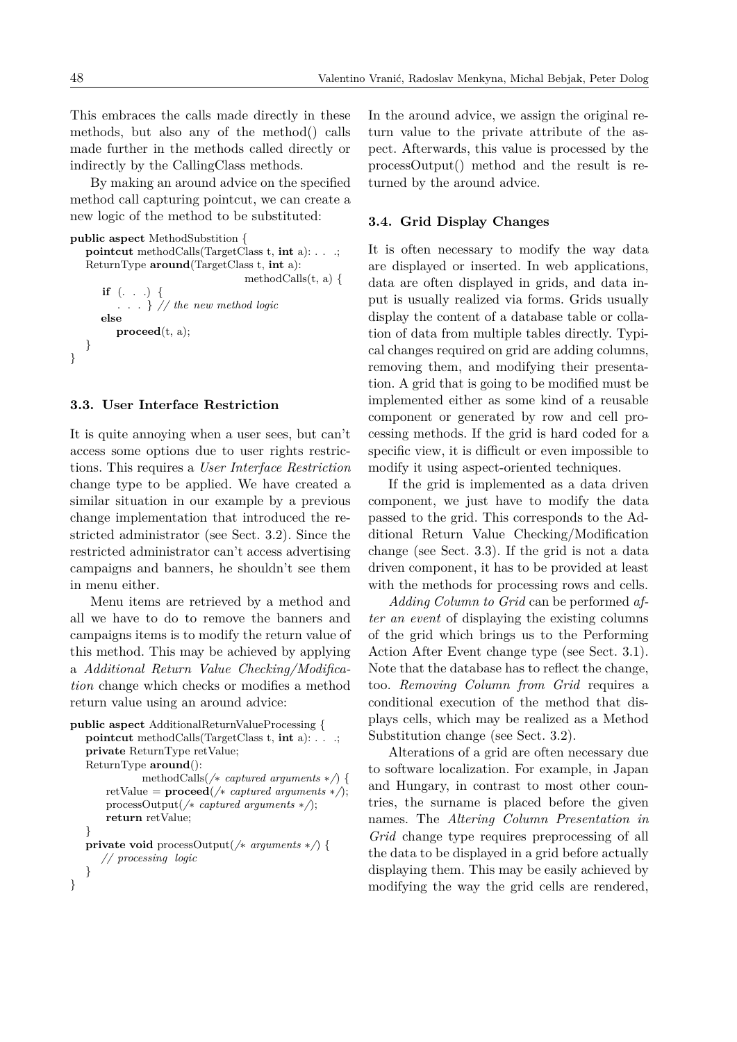This embraces the calls made directly in these methods, but also any of the method() calls made further in the methods called directly or indirectly by the CallingClass methods.

By making an around advice on the specified method call capturing pointcut, we can create a new logic of the method to be substituted:

**public aspect** MethodSubstition {

```
pointcut methodCalls(TargetClass t, int a): . . .;
   ReturnType around(TargetClass t, int a):
                                 methodCalls(t, a) {
      if (. . .) {
         ...} // the new method logic
      else
        proceed(t, a);
   }
}
```
#### **3.3. User Interface Restriction**

It is quite annoying when a user sees, but can't access some options due to user rights restrictions. This requires a *User Interface Restriction* change type to be applied. We have created a similar situation in our example by a previous change implementation that introduced the restricted administrator (see Sect. 3.2). Since the restricted administrator can't access advertising campaigns and banners, he shouldn't see them in menu either.

Menu items are retrieved by a method and all we have to do to remove the banners and campaigns items is to modify the return value of this method. This may be achieved by applying a *Additional Return Value Checking/Modification* change which checks or modifies a method return value using an around advice:

```
public aspect AdditionalReturnValueProcessing {
   pointcut methodCalls(TargetClass t, int a): . . .;
   private ReturnType retValue;
   ReturnType around():
              methodCalls(/∗ captured arguments ∗/) {
       retValue = <b>procedure</b>(/* captured arguments */processOutput(/∗ captured arguments ∗/);
       return retValue;
   }
   private void processOutput(/∗ arguments ∗/) {
      // processing logic
   }
}
```
In the around advice, we assign the original return value to the private attribute of the aspect. Afterwards, this value is processed by the processOutput() method and the result is returned by the around advice.

## **3.4. Grid Display Changes**

It is often necessary to modify the way data are displayed or inserted. In web applications, data are often displayed in grids, and data input is usually realized via forms. Grids usually display the content of a database table or collation of data from multiple tables directly. Typical changes required on grid are adding columns, removing them, and modifying their presentation. A grid that is going to be modified must be implemented either as some kind of a reusable component or generated by row and cell processing methods. If the grid is hard coded for a specific view, it is difficult or even impossible to modify it using aspect-oriented techniques.

If the grid is implemented as a data driven component, we just have to modify the data passed to the grid. This corresponds to the Additional Return Value Checking/Modification change (see Sect. 3.3). If the grid is not a data driven component, it has to be provided at least with the methods for processing rows and cells.

*Adding Column to Grid* can be performed *after an event* of displaying the existing columns of the grid which brings us to the Performing Action After Event change type (see Sect. 3.1). Note that the database has to reflect the change, too. *Removing Column from Grid* requires a conditional execution of the method that displays cells, which may be realized as a Method Substitution change (see Sect. 3.2).

Alterations of a grid are often necessary due to software localization. For example, in Japan and Hungary, in contrast to most other countries, the surname is placed before the given names. The *Altering Column Presentation in Grid* change type requires preprocessing of all the data to be displayed in a grid before actually displaying them. This may be easily achieved by modifying the way the grid cells are rendered,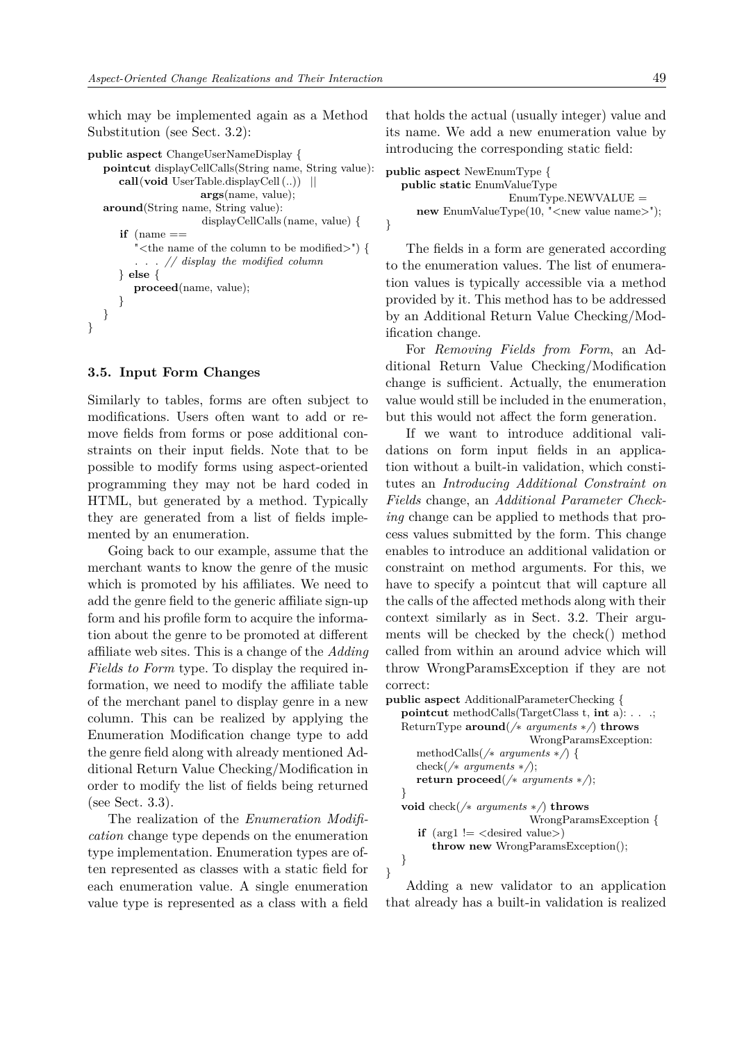which may be implemented again as a Method Substitution (see Sect. 3.2):

```
public aspect ChangeUserNameDisplay {
  pointcut displayCellCalls(String name, String value):
      call(void UserTable.displayCell (..)) ||
                     args(name, value);
   around(String name, String value):
                      displayCellCalls (name, value) {
      \mathbf{if} (name =="<the name of the column to be modified>") {
         ... // display the modified column
      } else {
        proceed(name, value);
      }
  }
}
```
## **3.5. Input Form Changes**

Similarly to tables, forms are often subject to modifications. Users often want to add or remove fields from forms or pose additional constraints on their input fields. Note that to be possible to modify forms using aspect-oriented programming they may not be hard coded in HTML, but generated by a method. Typically they are generated from a list of fields implemented by an enumeration.

Going back to our example, assume that the merchant wants to know the genre of the music which is promoted by his affiliates. We need to add the genre field to the generic affiliate sign-up form and his profile form to acquire the information about the genre to be promoted at different affiliate web sites. This is a change of the *Adding Fields to Form* type. To display the required information, we need to modify the affiliate table of the merchant panel to display genre in a new column. This can be realized by applying the Enumeration Modification change type to add the genre field along with already mentioned Additional Return Value Checking/Modification in order to modify the list of fields being returned (see Sect. 3.3).

The realization of the *Enumeration Modification* change type depends on the enumeration type implementation. Enumeration types are often represented as classes with a static field for each enumeration value. A single enumeration value type is represented as a class with a field that holds the actual (usually integer) value and its name. We add a new enumeration value by introducing the corresponding static field:

```
public aspect NewEnumType {
  public static EnumValueType
                        EnumType.NEWVALUE =new EnumValueType(10, \textdegree <new value name>\textdegree);
}
```
The fields in a form are generated according to the enumeration values. The list of enumeration values is typically accessible via a method provided by it. This method has to be addressed by an Additional Return Value Checking/Modification change.

For *Removing Fields from Form*, an Additional Return Value Checking/Modification change is sufficient. Actually, the enumeration value would still be included in the enumeration, but this would not affect the form generation.

If we want to introduce additional validations on form input fields in an application without a built-in validation, which constitutes an *Introducing Additional Constraint on Fields* change, an *Additional Parameter Checking* change can be applied to methods that process values submitted by the form. This change enables to introduce an additional validation or constraint on method arguments. For this, we have to specify a pointcut that will capture all the calls of the affected methods along with their context similarly as in Sect. 3.2. Their arguments will be checked by the check() method called from within an around advice which will throw WrongParamsException if they are not correct:

```
public aspect AdditionalParameterChecking {
  pointcut methodCalls(TargetClass t, int a): . . .;
  ReturnType around(/∗ arguments ∗/) throws
                           WrongParamsException:
     methodCalls(/∗ arguments ∗/) {
     check(/∗ arguments ∗/);
     return proceed(/∗ arguments ∗/);
   }
  void check(/∗ arguments ∗/) throws
                           WrongParamsException {
      if (\text{arg1} := \text{defired value})throw new WrongParamsException();
  }
```
Adding a new validator to an application that already has a built-in validation is realized

}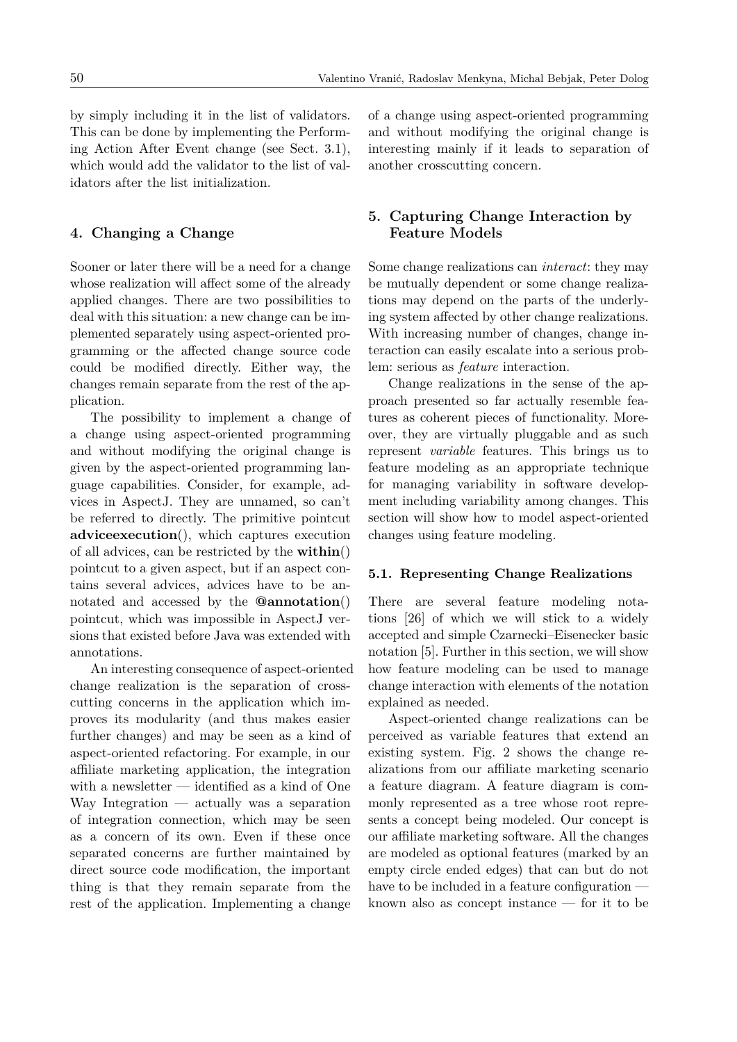by simply including it in the list of validators. This can be done by implementing the Performing Action After Event change (see Sect. 3.1), which would add the validator to the list of validators after the list initialization.

## **4. Changing a Change**

Sooner or later there will be a need for a change whose realization will affect some of the already applied changes. There are two possibilities to deal with this situation: a new change can be implemented separately using aspect-oriented programming or the affected change source code could be modified directly. Either way, the changes remain separate from the rest of the application.

The possibility to implement a change of a change using aspect-oriented programming and without modifying the original change is given by the aspect-oriented programming language capabilities. Consider, for example, advices in AspectJ. They are unnamed, so can't be referred to directly. The primitive pointcut **adviceexecution**(), which captures execution of all advices, can be restricted by the **within**() pointcut to a given aspect, but if an aspect contains several advices, advices have to be annotated and accessed by the **@annotation**() pointcut, which was impossible in AspectJ versions that existed before Java was extended with annotations.

An interesting consequence of aspect-oriented change realization is the separation of crosscutting concerns in the application which improves its modularity (and thus makes easier further changes) and may be seen as a kind of aspect-oriented refactoring. For example, in our affiliate marketing application, the integration with a newsletter — identified as a kind of One Way Integration  $-$  actually was a separation of integration connection, which may be seen as a concern of its own. Even if these once separated concerns are further maintained by direct source code modification, the important thing is that they remain separate from the rest of the application. Implementing a change

of a change using aspect-oriented programming and without modifying the original change is interesting mainly if it leads to separation of another crosscutting concern.

# **5. Capturing Change Interaction by Feature Models**

Some change realizations can *interact*: they may be mutually dependent or some change realizations may depend on the parts of the underlying system affected by other change realizations. With increasing number of changes, change interaction can easily escalate into a serious problem: serious as *feature* interaction.

Change realizations in the sense of the approach presented so far actually resemble features as coherent pieces of functionality. Moreover, they are virtually pluggable and as such represent *variable* features. This brings us to feature modeling as an appropriate technique for managing variability in software development including variability among changes. This section will show how to model aspect-oriented changes using feature modeling.

#### **5.1. Representing Change Realizations**

There are several feature modeling notations [26] of which we will stick to a widely accepted and simple Czarnecki–Eisenecker basic notation [5]. Further in this section, we will show how feature modeling can be used to manage change interaction with elements of the notation explained as needed.

Aspect-oriented change realizations can be perceived as variable features that extend an existing system. Fig. 2 shows the change realizations from our affiliate marketing scenario a feature diagram. A feature diagram is commonly represented as a tree whose root represents a concept being modeled. Our concept is our affiliate marketing software. All the changes are modeled as optional features (marked by an empty circle ended edges) that can but do not have to be included in a feature configuration – known also as concept instance — for it to be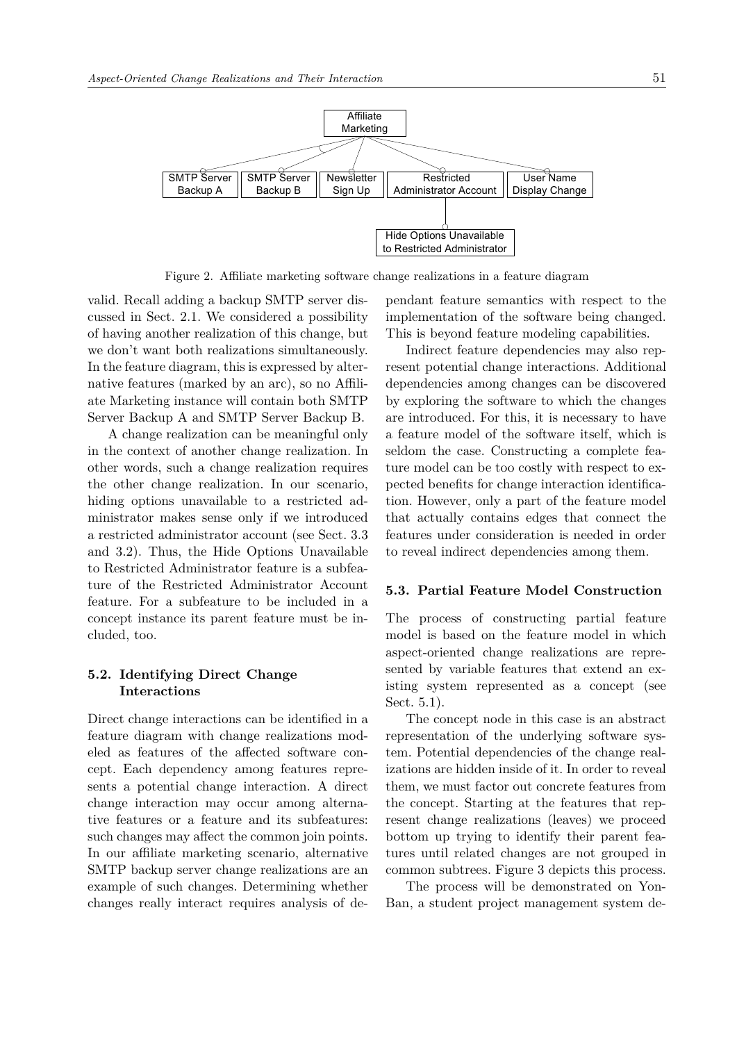

Figure 2. Affiliate marketing software change realizations in a feature diagram

valid. Recall adding a backup SMTP server discussed in Sect. 2.1. We considered a possibility of having another realization of this change, but we don't want both realizations simultaneously. In the feature diagram, this is expressed by alternative features (marked by an arc), so no Affiliate Marketing instance will contain both SMTP Server Backup A and SMTP Server Backup B.

A change realization can be meaningful only in the context of another change realization. In other words, such a change realization requires the other change realization. In our scenario, hiding options unavailable to a restricted administrator makes sense only if we introduced a restricted administrator account (see Sect. 3.3 and 3.2). Thus, the Hide Options Unavailable to Restricted Administrator feature is a subfeature of the Restricted Administrator Account feature. For a subfeature to be included in a concept instance its parent feature must be included, too.

## **5.2. Identifying Direct Change Interactions**

Direct change interactions can be identified in a feature diagram with change realizations modeled as features of the affected software concept. Each dependency among features represents a potential change interaction. A direct change interaction may occur among alternative features or a feature and its subfeatures: such changes may affect the common join points. In our affiliate marketing scenario, alternative SMTP backup server change realizations are an example of such changes. Determining whether changes really interact requires analysis of dependant feature semantics with respect to the implementation of the software being changed. This is beyond feature modeling capabilities.

Indirect feature dependencies may also represent potential change interactions. Additional dependencies among changes can be discovered by exploring the software to which the changes are introduced. For this, it is necessary to have a feature model of the software itself, which is seldom the case. Constructing a complete feature model can be too costly with respect to expected benefits for change interaction identification. However, only a part of the feature model that actually contains edges that connect the features under consideration is needed in order to reveal indirect dependencies among them.

#### **5.3. Partial Feature Model Construction**

The process of constructing partial feature model is based on the feature model in which aspect-oriented change realizations are represented by variable features that extend an existing system represented as a concept (see Sect. 5.1).

The concept node in this case is an abstract representation of the underlying software system. Potential dependencies of the change realizations are hidden inside of it. In order to reveal them, we must factor out concrete features from the concept. Starting at the features that represent change realizations (leaves) we proceed bottom up trying to identify their parent features until related changes are not grouped in common subtrees. Figure 3 depicts this process.

The process will be demonstrated on Yon-Ban, a student project management system de-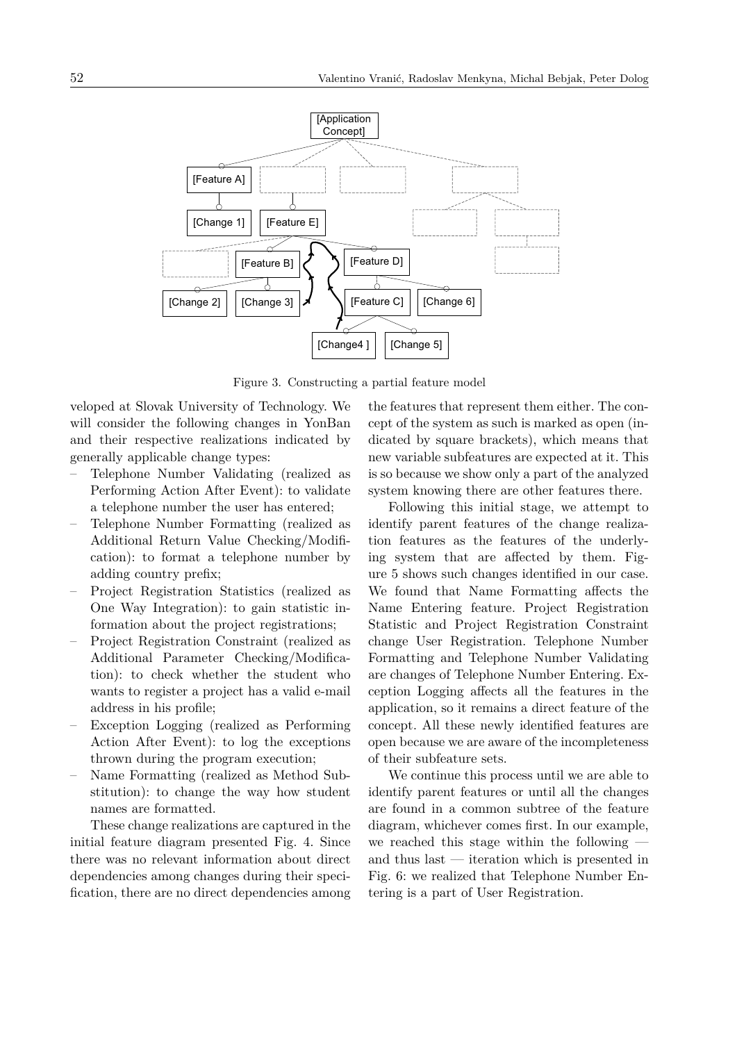

Figure 3. Constructing a partial feature model

veloped at Slovak University of Technology. We will consider the following changes in YonBan and their respective realizations indicated by generally applicable change types:

- Telephone Number Validating (realized as Performing Action After Event): to validate a telephone number the user has entered;
- Telephone Number Formatting (realized as Additional Return Value Checking/Modification): to format a telephone number by adding country prefix;
- Project Registration Statistics (realized as One Way Integration): to gain statistic information about the project registrations;
- Project Registration Constraint (realized as Additional Parameter Checking/Modification): to check whether the student who wants to register a project has a valid e-mail address in his profile;
- Exception Logging (realized as Performing Action After Event): to log the exceptions thrown during the program execution;
- Name Formatting (realized as Method Substitution): to change the way how student names are formatted.

These change realizations are captured in the initial feature diagram presented Fig. 4. Since there was no relevant information about direct dependencies among changes during their specification, there are no direct dependencies among

the features that represent them either. The concept of the system as such is marked as open (indicated by square brackets), which means that new variable subfeatures are expected at it. This is so because we show only a part of the analyzed system knowing there are other features there.

Following this initial stage, we attempt to identify parent features of the change realization features as the features of the underlying system that are affected by them. Figure 5 shows such changes identified in our case. We found that Name Formatting affects the Name Entering feature. Project Registration Statistic and Project Registration Constraint change User Registration. Telephone Number Formatting and Telephone Number Validating are changes of Telephone Number Entering. Exception Logging affects all the features in the application, so it remains a direct feature of the concept. All these newly identified features are open because we are aware of the incompleteness of their subfeature sets.

We continue this process until we are able to identify parent features or until all the changes are found in a common subtree of the feature diagram, whichever comes first. In our example, we reached this stage within the following and thus last — iteration which is presented in Fig. 6: we realized that Telephone Number Entering is a part of User Registration.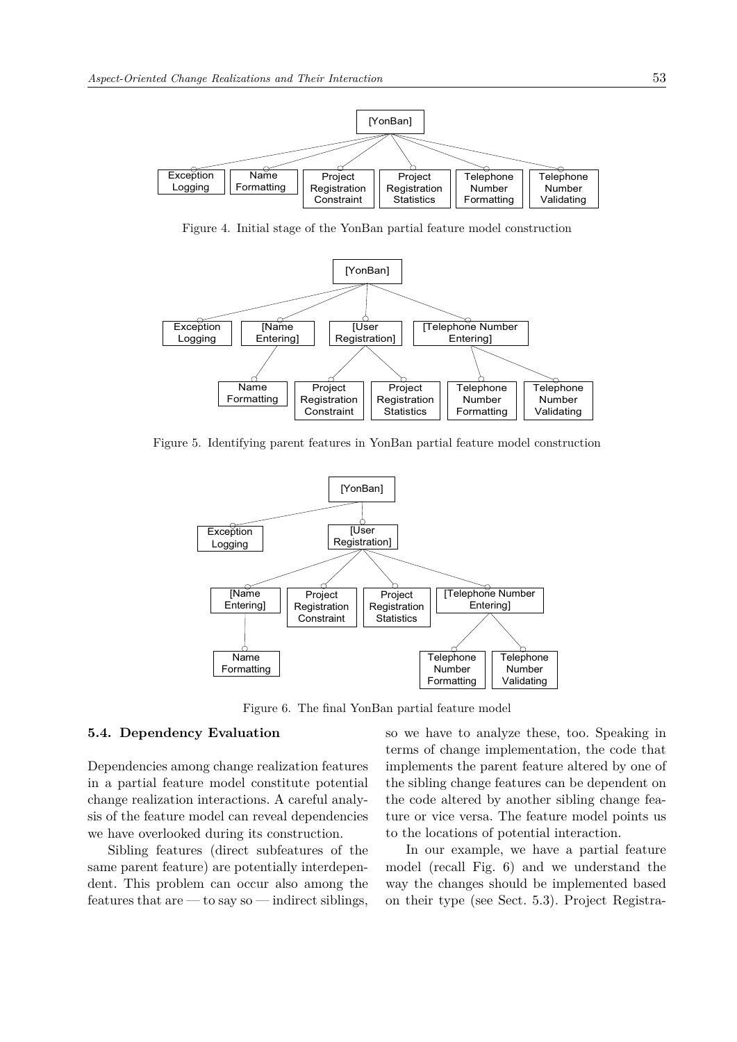

Figure 4. Initial stage of the YonBan partial feature model construction



Figure 5. Identifying parent features in YonBan partial feature model construction



Figure 6. The final YonBan partial feature model

#### **5.4. Dependency Evaluation**

Dependencies among change realization features in a partial feature model constitute potential change realization interactions. A careful analysis of the feature model can reveal dependencies we have overlooked during its construction.

Sibling features (direct subfeatures of the same parent feature) are potentially interdependent. This problem can occur also among the features that are  $-$  to say so  $-$  indirect siblings, so we have to analyze these, too. Speaking in terms of change implementation, the code that implements the parent feature altered by one of the sibling change features can be dependent on the code altered by another sibling change feature or vice versa. The feature model points us to the locations of potential interaction.

In our example, we have a partial feature model (recall Fig. 6) and we understand the way the changes should be implemented based on their type (see Sect. 5.3). Project Registra-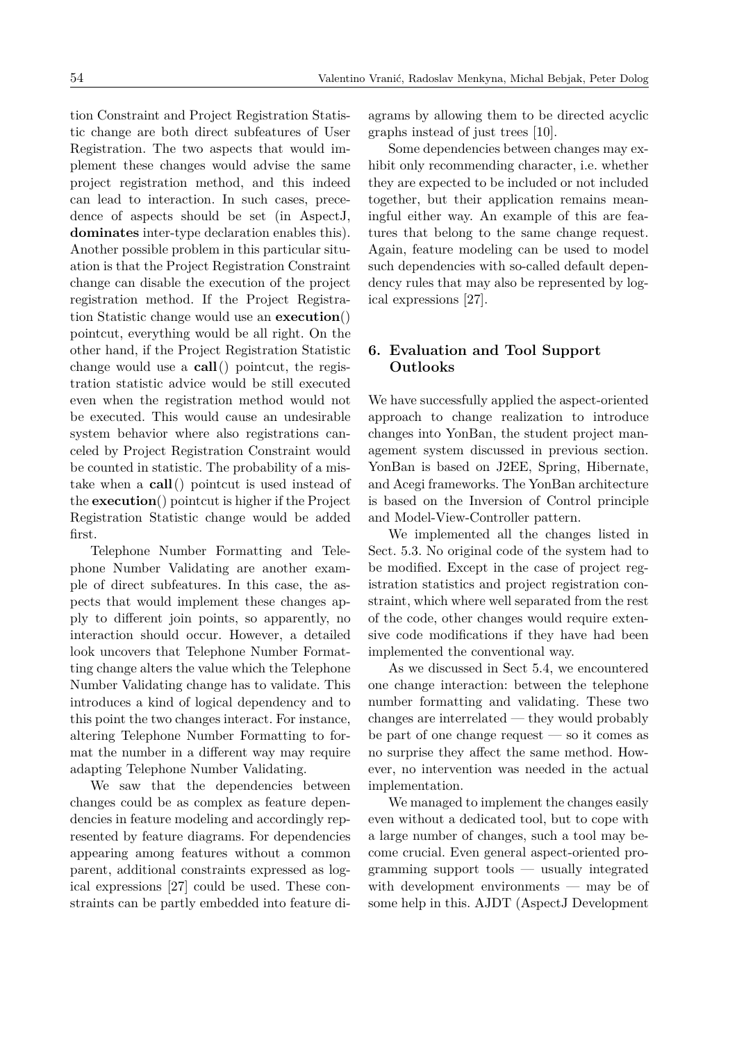tion Constraint and Project Registration Statistic change are both direct subfeatures of User Registration. The two aspects that would implement these changes would advise the same project registration method, and this indeed can lead to interaction. In such cases, precedence of aspects should be set (in AspectJ, **dominates** inter-type declaration enables this). Another possible problem in this particular situation is that the Project Registration Constraint change can disable the execution of the project registration method. If the Project Registration Statistic change would use an **execution**() pointcut, everything would be all right. On the other hand, if the Project Registration Statistic change would use a **call**() pointcut, the registration statistic advice would be still executed even when the registration method would not be executed. This would cause an undesirable system behavior where also registrations canceled by Project Registration Constraint would be counted in statistic. The probability of a mistake when a **call**() pointcut is used instead of the **execution**() pointcut is higher if the Project Registration Statistic change would be added first.

Telephone Number Formatting and Telephone Number Validating are another example of direct subfeatures. In this case, the aspects that would implement these changes apply to different join points, so apparently, no interaction should occur. However, a detailed look uncovers that Telephone Number Formatting change alters the value which the Telephone Number Validating change has to validate. This introduces a kind of logical dependency and to this point the two changes interact. For instance, altering Telephone Number Formatting to format the number in a different way may require adapting Telephone Number Validating.

We saw that the dependencies between changes could be as complex as feature dependencies in feature modeling and accordingly represented by feature diagrams. For dependencies appearing among features without a common parent, additional constraints expressed as logical expressions [27] could be used. These constraints can be partly embedded into feature diagrams by allowing them to be directed acyclic graphs instead of just trees [10].

Some dependencies between changes may exhibit only recommending character, i.e. whether they are expected to be included or not included together, but their application remains meaningful either way. An example of this are features that belong to the same change request. Again, feature modeling can be used to model such dependencies with so-called default dependency rules that may also be represented by logical expressions [27].

# **6. Evaluation and Tool Support Outlooks**

We have successfully applied the aspect-oriented approach to change realization to introduce changes into YonBan, the student project management system discussed in previous section. YonBan is based on J2EE, Spring, Hibernate, and Acegi frameworks. The YonBan architecture is based on the Inversion of Control principle and Model-View-Controller pattern.

We implemented all the changes listed in Sect. 5.3. No original code of the system had to be modified. Except in the case of project registration statistics and project registration constraint, which where well separated from the rest of the code, other changes would require extensive code modifications if they have had been implemented the conventional way.

As we discussed in Sect 5.4, we encountered one change interaction: between the telephone number formatting and validating. These two changes are interrelated — they would probably be part of one change request — so it comes as no surprise they affect the same method. However, no intervention was needed in the actual implementation.

We managed to implement the changes easily even without a dedicated tool, but to cope with a large number of changes, such a tool may become crucial. Even general aspect-oriented programming support tools — usually integrated with development environments — may be of some help in this. AJDT (AspectJ Development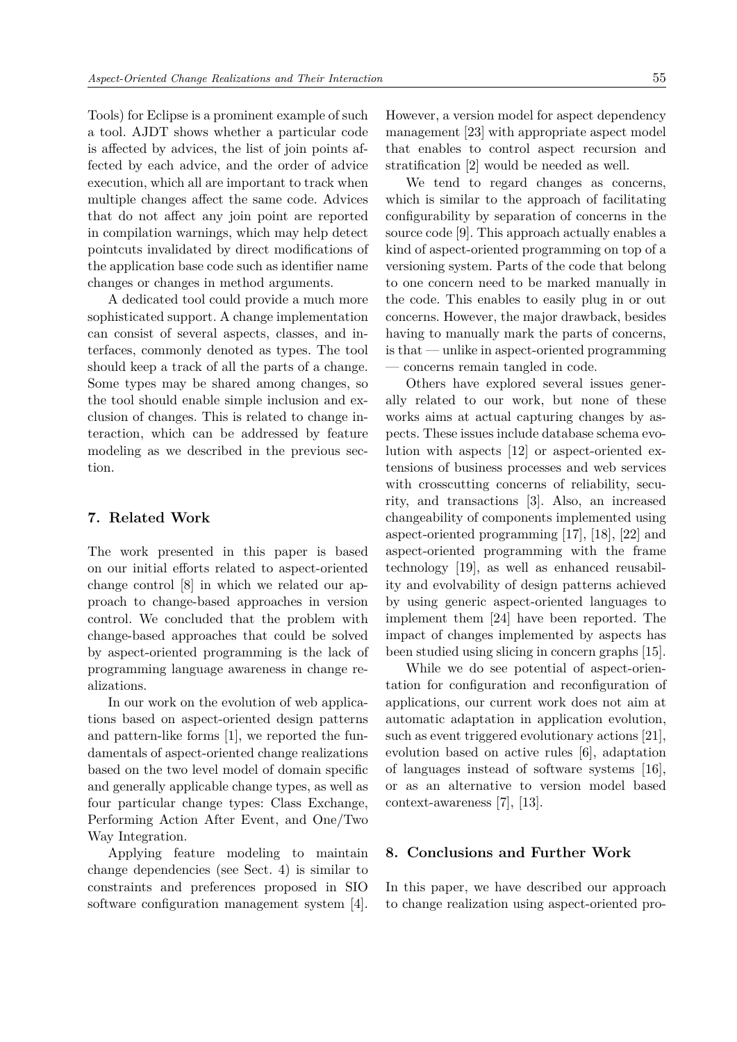Tools) for Eclipse is a prominent example of such a tool. AJDT shows whether a particular code is affected by advices, the list of join points affected by each advice, and the order of advice execution, which all are important to track when multiple changes affect the same code. Advices that do not affect any join point are reported in compilation warnings, which may help detect pointcuts invalidated by direct modifications of the application base code such as identifier name changes or changes in method arguments.

A dedicated tool could provide a much more sophisticated support. A change implementation can consist of several aspects, classes, and interfaces, commonly denoted as types. The tool should keep a track of all the parts of a change. Some types may be shared among changes, so the tool should enable simple inclusion and exclusion of changes. This is related to change interaction, which can be addressed by feature modeling as we described in the previous section.

## **7. Related Work**

The work presented in this paper is based on our initial efforts related to aspect-oriented change control [8] in which we related our approach to change-based approaches in version control. We concluded that the problem with change-based approaches that could be solved by aspect-oriented programming is the lack of programming language awareness in change realizations.

In our work on the evolution of web applications based on aspect-oriented design patterns and pattern-like forms [1], we reported the fundamentals of aspect-oriented change realizations based on the two level model of domain specific and generally applicable change types, as well as four particular change types: Class Exchange, Performing Action After Event, and One/Two Way Integration.

Applying feature modeling to maintain change dependencies (see Sect. 4) is similar to constraints and preferences proposed in SIO software configuration management system [4]. However, a version model for aspect dependency management [23] with appropriate aspect model that enables to control aspect recursion and stratification [2] would be needed as well.

We tend to regard changes as concerns, which is similar to the approach of facilitating configurability by separation of concerns in the source code [9]. This approach actually enables a kind of aspect-oriented programming on top of a versioning system. Parts of the code that belong to one concern need to be marked manually in the code. This enables to easily plug in or out concerns. However, the major drawback, besides having to manually mark the parts of concerns, is that — unlike in aspect-oriented programming — concerns remain tangled in code.

Others have explored several issues generally related to our work, but none of these works aims at actual capturing changes by aspects. These issues include database schema evolution with aspects [12] or aspect-oriented extensions of business processes and web services with crosscutting concerns of reliability, security, and transactions [3]. Also, an increased changeability of components implemented using aspect-oriented programming [17], [18], [22] and aspect-oriented programming with the frame technology [19], as well as enhanced reusability and evolvability of design patterns achieved by using generic aspect-oriented languages to implement them [24] have been reported. The impact of changes implemented by aspects has been studied using slicing in concern graphs [15].

While we do see potential of aspect-orientation for configuration and reconfiguration of applications, our current work does not aim at automatic adaptation in application evolution, such as event triggered evolutionary actions [21], evolution based on active rules [6], adaptation of languages instead of software systems [16], or as an alternative to version model based context-awareness [7], [13].

## **8. Conclusions and Further Work**

In this paper, we have described our approach to change realization using aspect-oriented pro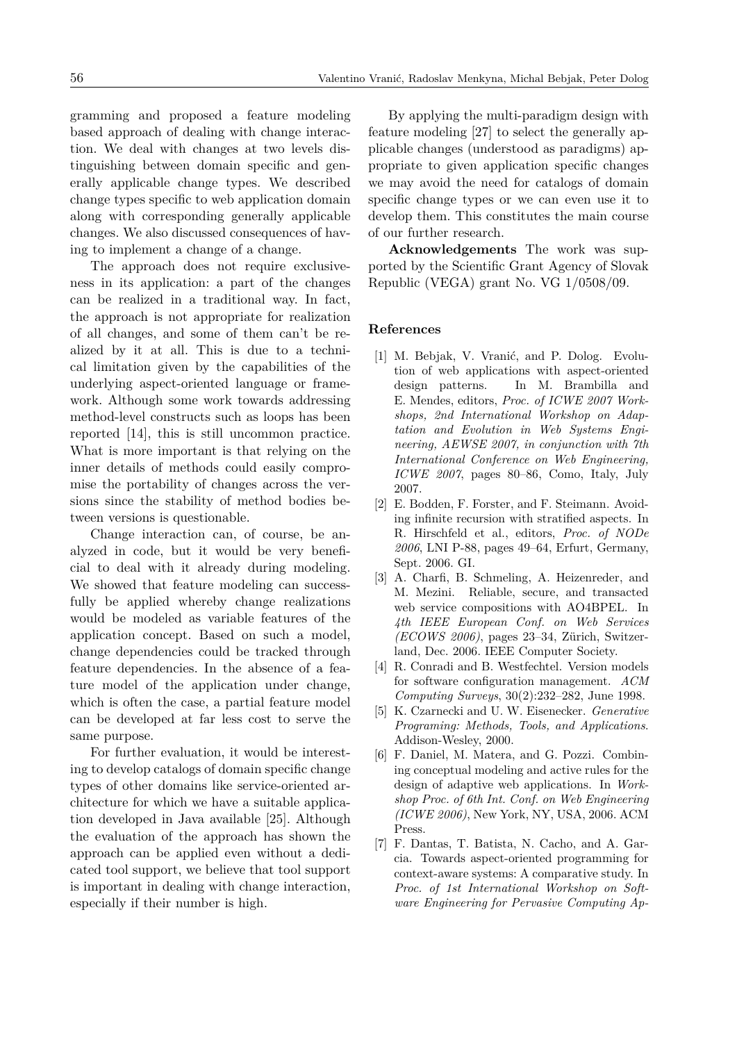gramming and proposed a feature modeling based approach of dealing with change interaction. We deal with changes at two levels distinguishing between domain specific and generally applicable change types. We described change types specific to web application domain along with corresponding generally applicable changes. We also discussed consequences of having to implement a change of a change.

The approach does not require exclusiveness in its application: a part of the changes can be realized in a traditional way. In fact, the approach is not appropriate for realization of all changes, and some of them can't be realized by it at all. This is due to a technical limitation given by the capabilities of the underlying aspect-oriented language or framework. Although some work towards addressing method-level constructs such as loops has been reported [14], this is still uncommon practice. What is more important is that relying on the inner details of methods could easily compromise the portability of changes across the versions since the stability of method bodies between versions is questionable.

Change interaction can, of course, be analyzed in code, but it would be very beneficial to deal with it already during modeling. We showed that feature modeling can successfully be applied whereby change realizations would be modeled as variable features of the application concept. Based on such a model, change dependencies could be tracked through feature dependencies. In the absence of a feature model of the application under change, which is often the case, a partial feature model can be developed at far less cost to serve the same purpose.

For further evaluation, it would be interesting to develop catalogs of domain specific change types of other domains like service-oriented architecture for which we have a suitable application developed in Java available [25]. Although the evaluation of the approach has shown the approach can be applied even without a dedicated tool support, we believe that tool support is important in dealing with change interaction, especially if their number is high.

By applying the multi-paradigm design with feature modeling [27] to select the generally applicable changes (understood as paradigms) appropriate to given application specific changes we may avoid the need for catalogs of domain specific change types or we can even use it to develop them. This constitutes the main course of our further research.

**Acknowledgements** The work was supported by the Scientific Grant Agency of Slovak Republic (VEGA) grant No. VG 1/0508/09.

#### **References**

- [1] M. Bebjak, V. Vranić, and P. Dolog. Evolution of web applications with aspect-oriented design patterns. In M. Brambilla and E. Mendes, editors, *Proc. of ICWE 2007 Workshops, 2nd International Workshop on Adaptation and Evolution in Web Systems Engineering, AEWSE 2007, in conjunction with 7th International Conference on Web Engineering, ICWE 2007*, pages 80–86, Como, Italy, July 2007.
- [2] E. Bodden, F. Forster, and F. Steimann. Avoiding infinite recursion with stratified aspects. In R. Hirschfeld et al., editors, *Proc. of NODe 2006*, LNI P-88, pages 49–64, Erfurt, Germany, Sept. 2006. GI.
- [3] A. Charfi, B. Schmeling, A. Heizenreder, and M. Mezini. Reliable, secure, and transacted web service compositions with AO4BPEL. In *4th IEEE European Conf. on Web Services (ECOWS 2006)*, pages 23–34, Zürich, Switzerland, Dec. 2006. IEEE Computer Society.
- [4] R. Conradi and B. Westfechtel. Version models for software configuration management. *ACM Computing Surveys*, 30(2):232–282, June 1998.
- [5] K. Czarnecki and U. W. Eisenecker. *Generative Programing: Methods, Tools, and Applications*. Addison-Wesley, 2000.
- [6] F. Daniel, M. Matera, and G. Pozzi. Combining conceptual modeling and active rules for the design of adaptive web applications. In *Workshop Proc. of 6th Int. Conf. on Web Engineering (ICWE 2006)*, New York, NY, USA, 2006. ACM Press.
- [7] F. Dantas, T. Batista, N. Cacho, and A. Garcia. Towards aspect-oriented programming for context-aware systems: A comparative study. In *Proc. of 1st International Workshop on Software Engineering for Pervasive Computing Ap-*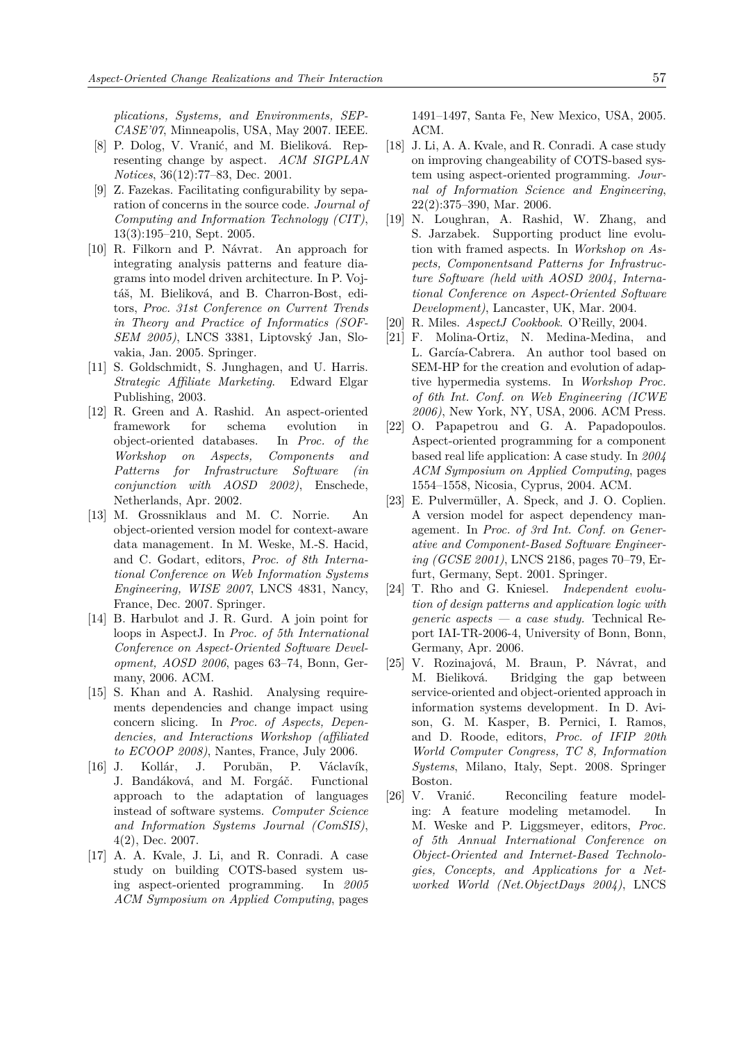*plications, Systems, and Environments, SEP-CASE'07*, Minneapolis, USA, May 2007. IEEE.

- [8] P. Dolog, V. Vranić, and M. Bieliková. Representing change by aspect. *ACM SIGPLAN Notices*, 36(12):77–83, Dec. 2001.
- [9] Z. Fazekas. Facilitating configurability by separation of concerns in the source code. *Journal of Computing and Information Technology (CIT)*, 13(3):195–210, Sept. 2005.
- [10] R. Filkorn and P. Návrat. An approach for integrating analysis patterns and feature diagrams into model driven architecture. In P. Vojtáš, M. Bieliková, and B. Charron-Bost, editors, *Proc. 31st Conference on Current Trends in Theory and Practice of Informatics (SOF-SEM 2005)*, LNCS 3381, Liptovský Jan, Slovakia, Jan. 2005. Springer.
- [11] S. Goldschmidt, S. Junghagen, and U. Harris. *Strategic Affiliate Marketing*. Edward Elgar Publishing, 2003.
- [12] R. Green and A. Rashid. An aspect-oriented framework for schema evolution in object-oriented databases. In *Proc. of the Workshop on Aspects, Components and Patterns for Infrastructure Software (in conjunction with AOSD 2002)*, Enschede, Netherlands, Apr. 2002.
- [13] M. Grossniklaus and M. C. Norrie. An object-oriented version model for context-aware data management. In M. Weske, M.-S. Hacid, and C. Godart, editors, *Proc. of 8th International Conference on Web Information Systems Engineering, WISE 2007*, LNCS 4831, Nancy, France, Dec. 2007. Springer.
- [14] B. Harbulot and J. R. Gurd. A join point for loops in AspectJ. In *Proc. of 5th International Conference on Aspect-Oriented Software Development, AOSD 2006*, pages 63–74, Bonn, Germany, 2006. ACM.
- [15] S. Khan and A. Rashid. Analysing requirements dependencies and change impact using concern slicing. In *Proc. of Aspects, Dependencies, and Interactions Workshop (affiliated to ECOOP 2008)*, Nantes, France, July 2006.
- [16] J. Kollár, J. Porubän, P. Václavík, J. Bandáková, and M. Forgáč. Functional approach to the adaptation of languages instead of software systems. *Computer Science and Information Systems Journal (ComSIS)*, 4(2), Dec. 2007.
- [17] A. A. Kvale, J. Li, and R. Conradi. A case study on building COTS-based system using aspect-oriented programming. In *2005 ACM Symposium on Applied Computing*, pages

1491–1497, Santa Fe, New Mexico, USA, 2005. ACM.

- [18] J. Li, A. A. Kvale, and R. Conradi. A case study on improving changeability of COTS-based system using aspect-oriented programming. *Journal of Information Science and Engineering*, 22(2):375–390, Mar. 2006.
- [19] N. Loughran, A. Rashid, W. Zhang, and S. Jarzabek. Supporting product line evolution with framed aspects. In *Workshop on Aspects, Componentsand Patterns for Infrastructure Software (held with AOSD 2004, International Conference on Aspect-Oriented Software Development)*, Lancaster, UK, Mar. 2004.
- [20] R. Miles. *AspectJ Cookbook*. O'Reilly, 2004.
- [21] F. Molina-Ortiz, N. Medina-Medina, and L. García-Cabrera. An author tool based on SEM-HP for the creation and evolution of adaptive hypermedia systems. In *Workshop Proc. of 6th Int. Conf. on Web Engineering (ICWE 2006)*, New York, NY, USA, 2006. ACM Press.
- [22] O. Papapetrou and G. A. Papadopoulos. Aspect-oriented programming for a component based real life application: A case study. In *2004 ACM Symposium on Applied Computing*, pages 1554–1558, Nicosia, Cyprus, 2004. ACM.
- [23] E. Pulvermüller, A. Speck, and J. O. Coplien. A version model for aspect dependency management. In *Proc. of 3rd Int. Conf. on Generative and Component-Based Software Engineering (GCSE 2001)*, LNCS 2186, pages 70–79, Erfurt, Germany, Sept. 2001. Springer.
- [24] T. Rho and G. Kniesel. *Independent evolution of design patterns and application logic with generic aspects — a case study.* Technical Report IAI-TR-2006-4, University of Bonn, Bonn, Germany, Apr. 2006.
- [25] V. Rozinajová, M. Braun, P. Návrat, and M. Bieliková. Bridging the gap between service-oriented and object-oriented approach in information systems development. In D. Avison, G. M. Kasper, B. Pernici, I. Ramos, and D. Roode, editors, *Proc. of IFIP 20th World Computer Congress, TC 8, Information Systems*, Milano, Italy, Sept. 2008. Springer Boston.<br>[26] V. Vranić.
- Reconciling feature modeling: A feature modeling metamodel. In M. Weske and P. Liggsmeyer, editors, *Proc. of 5th Annual International Conference on Object-Oriented and Internet-Based Technologies, Concepts, and Applications for a Networked World (Net.ObjectDays 2004)*, LNCS